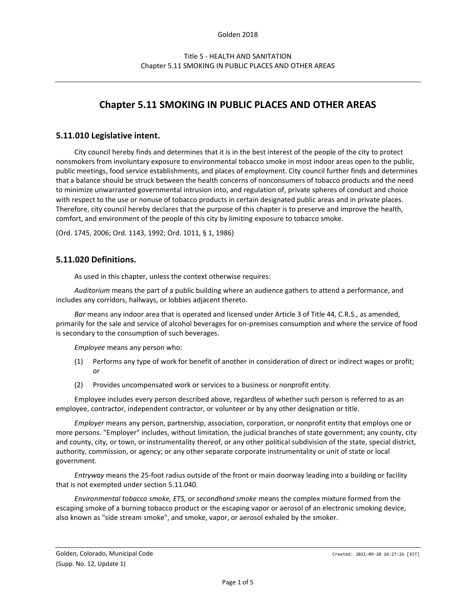# **Chapter 5.11 SMOKING IN PUBLIC PLACES AND OTHER AREAS**

# **5.11.010 Legislative intent.**

City council hereby finds and determines that it is in the best interest of the people of the city to protect nonsmokers from involuntary exposure to environmental tobacco smoke in most indoor areas open to the public, public meetings, food service establishments, and places of employment. City council further finds and determines that a balance should be struck between the health concerns of nonconsumers of tobacco products and the need to minimize unwarranted governmental intrusion into, and regulation of, private spheres of conduct and choice with respect to the use or nonuse of tobacco products in certain designated public areas and in private places. Therefore, city council hereby declares that the purpose of this chapter is to preserve and improve the health, comfort, and environment of the people of this city by limiting exposure to tobacco smoke.

(Ord. 1745, 2006; Ord. 1143, 1992; Ord. 1011, § 1, 1986)

#### **5.11.020 Definitions.**

As used in this chapter, unless the context otherwise requires:

*Auditorium* means the part of a public building where an audience gathers to attend a performance, and includes any corridors, hallways, or lobbies adjacent thereto.

*Bar* means any indoor area that is operated and licensed under Article 3 of Title 44, C.R.S., as amended, primarily for the sale and service of alcohol beverages for on-premises consumption and where the service of food is secondary to the consumption of such beverages.

*Employee* means any person who:

- (1) Performs any type of work for benefit of another in consideration of direct or indirect wages or profit; or
- (2) Provides uncompensated work or services to a business or nonprofit entity.

Employee includes every person described above, regardless of whether such person is referred to as an employee, contractor, independent contractor, or volunteer or by any other designation or title.

*Employer* means any person, partnership, association, corporation, or nonprofit entity that employs one or more persons. "Employer" includes, without limitation, the judicial branches of state government; any county, city and county, city, or town, or instrumentality thereof, or any other political subdivision of the state, special district, authority, commission, or agency; or any other separate corporate instrumentality or unit of state or local government.

*Entryway* means the 25-foot radius outside of the front or main doorway leading into a building or facility that is not exempted under section 5.11.040.

*Environmental tobacco smoke, ETS,* or *secondhand smoke* means the complex mixture formed from the escaping smoke of a burning tobacco product or the escaping vapor or aerosol of an electronic smoking device, also known as "side stream smoke", and smoke, vapor, or aerosol exhaled by the smoker.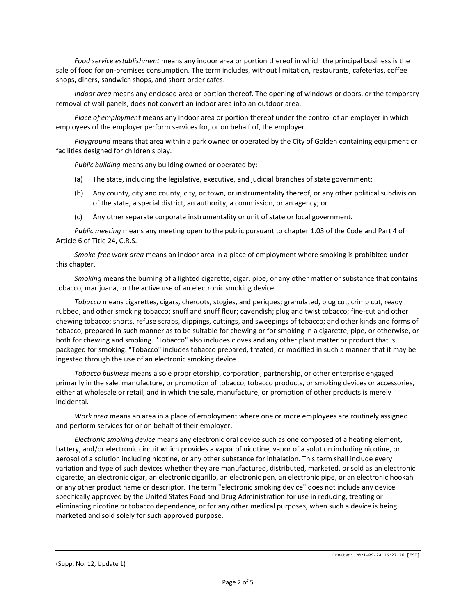*Food service establishment* means any indoor area or portion thereof in which the principal business is the sale of food for on-premises consumption. The term includes, without limitation, restaurants, cafeterias, coffee shops, diners, sandwich shops, and short-order cafes.

*Indoor area* means any enclosed area or portion thereof. The opening of windows or doors, or the temporary removal of wall panels, does not convert an indoor area into an outdoor area.

*Place of employment* means any indoor area or portion thereof under the control of an employer in which employees of the employer perform services for, or on behalf of, the employer.

*Playground* means that area within a park owned or operated by the City of Golden containing equipment or facilities designed for children's play.

*Public building* means any building owned or operated by:

- (a) The state, including the legislative, executive, and judicial branches of state government;
- (b) Any county, city and county, city, or town, or instrumentality thereof, or any other political subdivision of the state, a special district, an authority, a commission, or an agency; or
- (c) Any other separate corporate instrumentality or unit of state or local government.

*Public meeting* means any meeting open to the public pursuant to chapter 1.03 of the Code and Part 4 of Article 6 of Title 24, C.R.S.

*Smoke-free work area* means an indoor area in a place of employment where smoking is prohibited under this chapter.

*Smoking* means the burning of a lighted cigarette, cigar, pipe, or any other matter or substance that contains tobacco, marijuana, or the active use of an electronic smoking device.

*Tobacco* means cigarettes, cigars, cheroots, stogies, and periques; granulated, plug cut, crimp cut, ready rubbed, and other smoking tobacco; snuff and snuff flour; cavendish; plug and twist tobacco; fine-cut and other chewing tobacco; shorts, refuse scraps, clippings, cuttings, and sweepings of tobacco; and other kinds and forms of tobacco, prepared in such manner as to be suitable for chewing or for smoking in a cigarette, pipe, or otherwise, or both for chewing and smoking. "Tobacco" also includes cloves and any other plant matter or product that is packaged for smoking. "Tobacco" includes tobacco prepared, treated, or modified in such a manner that it may be ingested through the use of an electronic smoking device.

*Tobacco business* means a sole proprietorship, corporation, partnership, or other enterprise engaged primarily in the sale, manufacture, or promotion of tobacco, tobacco products, or smoking devices or accessories, either at wholesale or retail, and in which the sale, manufacture, or promotion of other products is merely incidental.

*Work area* means an area in a place of employment where one or more employees are routinely assigned and perform services for or on behalf of their employer.

*Electronic smoking device* means any electronic oral device such as one composed of a heating element, battery, and/or electronic circuit which provides a vapor of nicotine, vapor of a solution including nicotine, or aerosol of a solution including nicotine, or any other substance for inhalation. This term shall include every variation and type of such devices whether they are manufactured, distributed, marketed, or sold as an electronic cigarette, an electronic cigar, an electronic cigarillo, an electronic pen, an electronic pipe, or an electronic hookah or any other product name or descriptor. The term "electronic smoking device" does not include any device specifically approved by the United States Food and Drug Administration for use in reducing, treating or eliminating nicotine or tobacco dependence, or for any other medical purposes, when such a device is being marketed and sold solely for such approved purpose.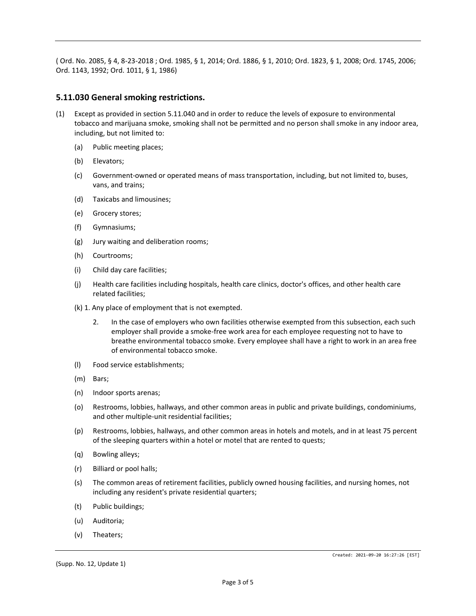( Ord. No. 2085, § 4, 8-23-2018 ; Ord. 1985, § 1, 2014; Ord. 1886, § 1, 2010; Ord. 1823, § 1, 2008; Ord. 1745, 2006; Ord. 1143, 1992; Ord. 1011, § 1, 1986)

### **5.11.030 General smoking restrictions.**

- (1) Except as provided in section 5.11.040 and in order to reduce the levels of exposure to environmental tobacco and marijuana smoke, smoking shall not be permitted and no person shall smoke in any indoor area, including, but not limited to:
	- (a) Public meeting places;
	- (b) Elevators;
	- (c) Government-owned or operated means of mass transportation, including, but not limited to, buses, vans, and trains;
	- (d) Taxicabs and limousines;
	- (e) Grocery stores;
	- (f) Gymnasiums;
	- (g) Jury waiting and deliberation rooms;
	- (h) Courtrooms;
	- (i) Child day care facilities;
	- (j) Health care facilities including hospitals, health care clinics, doctor's offices, and other health care related facilities;
	- (k) 1. Any place of employment that is not exempted.
		- 2. In the case of employers who own facilities otherwise exempted from this subsection, each such employer shall provide a smoke-free work area for each employee requesting not to have to breathe environmental tobacco smoke. Every employee shall have a right to work in an area free of environmental tobacco smoke.
	- (l) Food service establishments;
	- (m) Bars;
	- (n) Indoor sports arenas;
	- (o) Restrooms, lobbies, hallways, and other common areas in public and private buildings, condominiums, and other multiple-unit residential facilities;
	- (p) Restrooms, lobbies, hallways, and other common areas in hotels and motels, and in at least 75 percent of the sleeping quarters within a hotel or motel that are rented to quests;
	- (q) Bowling alleys;
	- (r) Billiard or pool halls;
	- (s) The common areas of retirement facilities, publicly owned housing facilities, and nursing homes, not including any resident's private residential quarters;
	- (t) Public buildings;
	- (u) Auditoria;
	- (v) Theaters;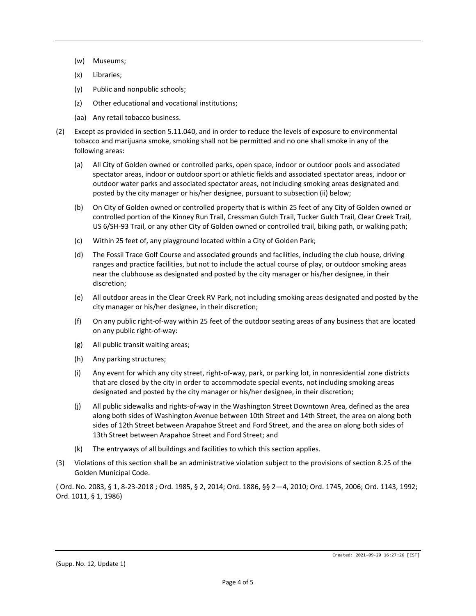- (w) Museums;
- (x) Libraries;
- (y) Public and nonpublic schools;
- (z) Other educational and vocational institutions;
- (aa) Any retail tobacco business.
- (2) Except as provided in section 5.11.040, and in order to reduce the levels of exposure to environmental tobacco and marijuana smoke, smoking shall not be permitted and no one shall smoke in any of the following areas:
	- (a) All City of Golden owned or controlled parks, open space, indoor or outdoor pools and associated spectator areas, indoor or outdoor sport or athletic fields and associated spectator areas, indoor or outdoor water parks and associated spectator areas, not including smoking areas designated and posted by the city manager or his/her designee, pursuant to subsection (ii) below;
	- (b) On City of Golden owned or controlled property that is within 25 feet of any City of Golden owned or controlled portion of the Kinney Run Trail, Cressman Gulch Trail, Tucker Gulch Trail, Clear Creek Trail, US 6/SH-93 Trail, or any other City of Golden owned or controlled trail, biking path, or walking path;
	- (c) Within 25 feet of, any playground located within a City of Golden Park;
	- (d) The Fossil Trace Golf Course and associated grounds and facilities, including the club house, driving ranges and practice facilities, but not to include the actual course of play, or outdoor smoking areas near the clubhouse as designated and posted by the city manager or his/her designee, in their discretion;
	- (e) All outdoor areas in the Clear Creek RV Park, not including smoking areas designated and posted by the city manager or his/her designee, in their discretion;
	- (f) On any public right-of-way within 25 feet of the outdoor seating areas of any business that are located on any public right-of-way:
	- (g) All public transit waiting areas;
	- (h) Any parking structures;
	- (i) Any event for which any city street, right-of-way, park, or parking lot, in nonresidential zone districts that are closed by the city in order to accommodate special events, not including smoking areas designated and posted by the city manager or his/her designee, in their discretion;
	- (j) All public sidewalks and rights-of-way in the Washington Street Downtown Area, defined as the area along both sides of Washington Avenue between 10th Street and 14th Street, the area on along both sides of 12th Street between Arapahoe Street and Ford Street, and the area on along both sides of 13th Street between Arapahoe Street and Ford Street; and
	- (k) The entryways of all buildings and facilities to which this section applies.
- (3) Violations of this section shall be an administrative violation subject to the provisions of section 8.25 of the Golden Municipal Code.

( Ord. No. 2083, § 1, 8-23-2018 ; Ord. 1985, § 2, 2014; Ord. 1886, §§ 2—4, 2010; Ord. 1745, 2006; Ord. 1143, 1992; Ord. 1011, § 1, 1986)